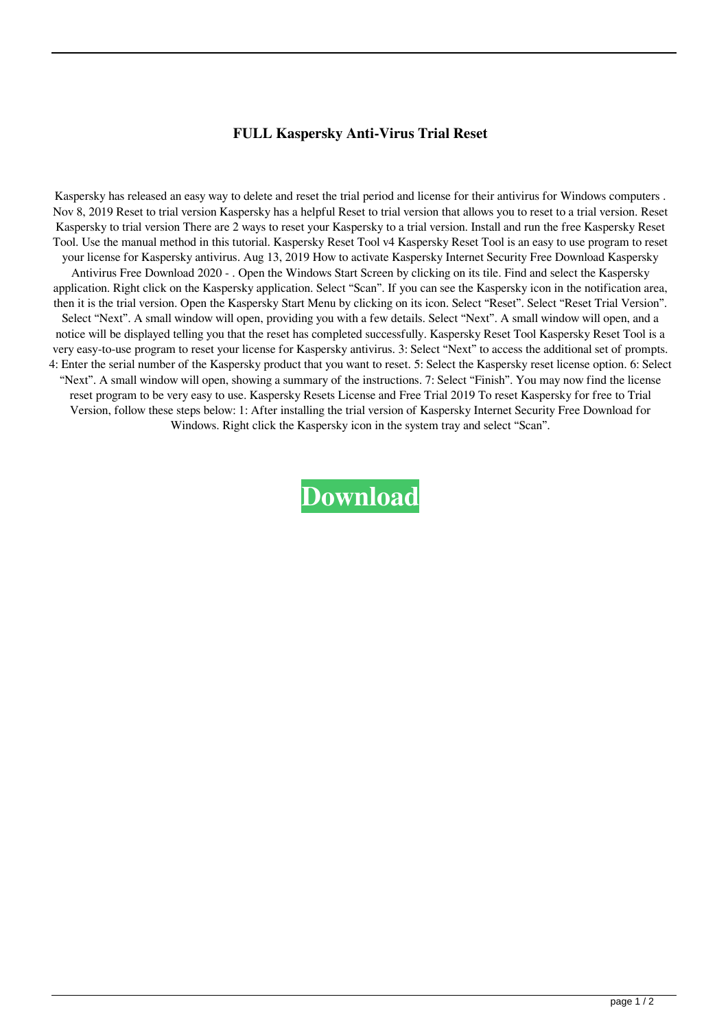## **FULL Kaspersky Anti-Virus Trial Reset**

Kaspersky has released an easy way to delete and reset the trial period and license for their antivirus for Windows computers . Nov 8, 2019 Reset to trial version Kaspersky has a helpful Reset to trial version that allows you to reset to a trial version. Reset Kaspersky to trial version There are 2 ways to reset your Kaspersky to a trial version. Install and run the free Kaspersky Reset Tool. Use the manual method in this tutorial. Kaspersky Reset Tool v4 Kaspersky Reset Tool is an easy to use program to reset your license for Kaspersky antivirus. Aug 13, 2019 How to activate Kaspersky Internet Security Free Download Kaspersky Antivirus Free Download 2020 - . Open the Windows Start Screen by clicking on its tile. Find and select the Kaspersky application. Right click on the Kaspersky application. Select "Scan". If you can see the Kaspersky icon in the notification area, then it is the trial version. Open the Kaspersky Start Menu by clicking on its icon. Select "Reset". Select "Reset Trial Version". Select "Next". A small window will open, providing you with a few details. Select "Next". A small window will open, and a notice will be displayed telling you that the reset has completed successfully. Kaspersky Reset Tool Kaspersky Reset Tool is a very easy-to-use program to reset your license for Kaspersky antivirus. 3: Select "Next" to access the additional set of prompts. 4: Enter the serial number of the Kaspersky product that you want to reset. 5: Select the Kaspersky reset license option. 6: Select "Next". A small window will open, showing a summary of the instructions. 7: Select "Finish". You may now find the license reset program to be very easy to use. Kaspersky Resets License and Free Trial 2019 To reset Kaspersky for free to Trial Version, follow these steps below: 1: After installing the trial version of Kaspersky Internet Security Free Download for Windows. Right click the Kaspersky icon in the system tray and select "Scan".

**[Download](http://evacdir.com/eurasia/gansu.customizations.RlVMTCBLYXNwZXJza3kgQW50aS1WaXJ1cyBUcmlhbCBSZXNldARlV.requisitions/?pursuers=ZG93bmxvYWR8dFIyTVhFME9YeDhNVFkxTWpjME1EZzJObng4TWpVM05IeDhLRTBwSUhKbFlXUXRZbXh2WnlCYlJtRnpkQ0JIUlU1ZA)**